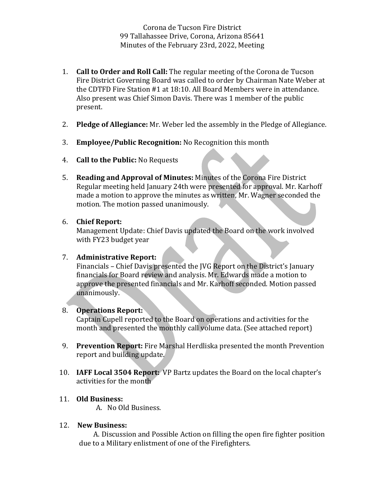Corona de Tucson Fire District 99 Tallahassee Drive, Corona, Arizona 85641 Minutes of the February 23rd, 2022, Meeting

- 1. **Call to Order and Roll Call:** The regular meeting of the Corona de Tucson Fire District Governing Board was called to order by Chairman Nate Weber at the CDTFD Fire Station #1 at 18:10. All Board Members were in attendance. Also present was Chief Simon Davis. There was 1 member of the public present.
- 2. **Pledge of Allegiance:** Mr. Weber led the assembly in the Pledge of Allegiance.
- 3. **Employee/Public Recognition:** No Recognition this month
- 4. **Call to the Public:** No Requests
- 5. **Reading and Approval of Minutes:** Minutes of the Corona Fire District Regular meeting held January 24th were presented for approval. Mr. Karhoff made a motion to approve the minutes as written, Mr. Wagner seconded the motion. The motion passed unanimously.

## 6. **Chief Report:**

Management Update: Chief Davis updated the Board on the work involved with FY23 budget year

## 7. **Administrative Report:**

Financials – Chief Davis presented the JVG Report on the District's January financials for Board review and analysis. Mr. Edwards made a motion to approve the presented financials and Mr. Karhoff seconded. Motion passed unanimously. 

## 8. **Operations Report:**

Captain Cupell reported to the Board on operations and activities for the month and presented the monthly call volume data. (See attached report)

- 9. **Prevention Report:** Fire Marshal Herdliska presented the month Prevention report and building update.
- 10. **IAFF Local 3504 Report:** VP Bartz updates the Board on the local chapter's activities for the month

## 11. **Old Business:**

A. No Old Business.

# 12. **New Business:**

A. Discussion and Possible Action on filling the open fire fighter position due to a Military enlistment of one of the Firefighters.